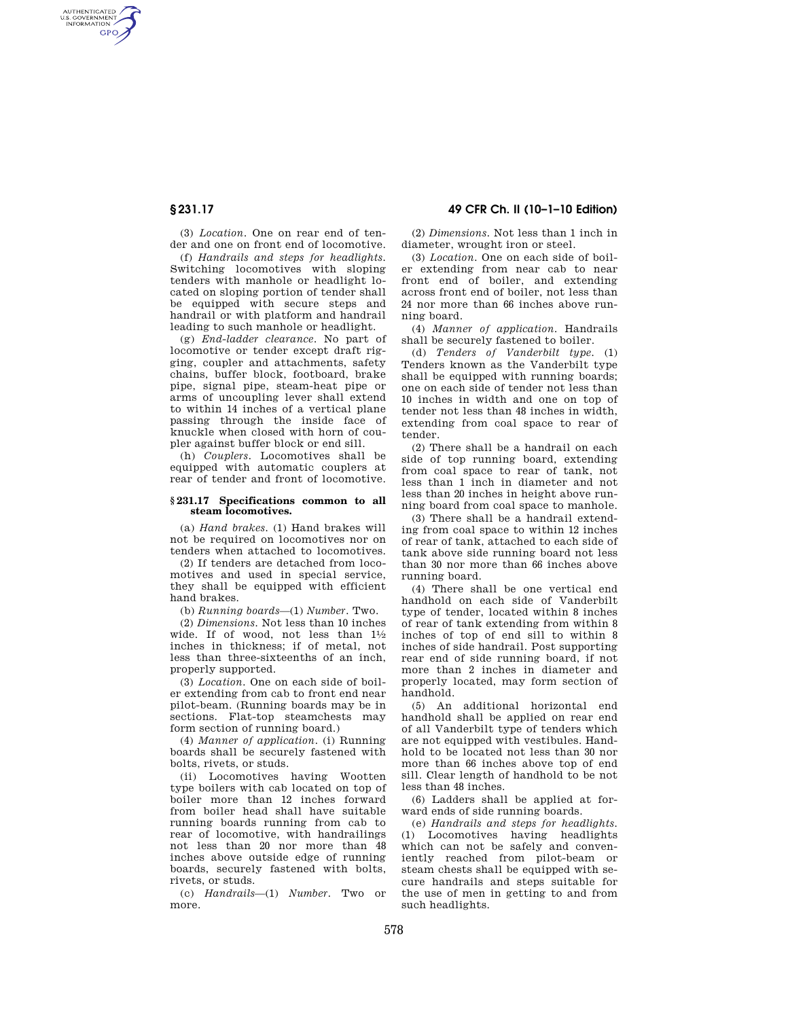AUTHENTICATED<br>U.S. GOVERNMENT<br>INFORMATION **GPO** 

> (3) *Location.* One on rear end of tender and one on front end of locomotive.

> (f) *Handrails and steps for headlights.*  Switching locomotives with sloping tenders with manhole or headlight located on sloping portion of tender shall be equipped with secure steps and handrail or with platform and handrail leading to such manhole or headlight.

> (g) *End-ladder clearance.* No part of locomotive or tender except draft rigging, coupler and attachments, safety chains, buffer block, footboard, brake pipe, signal pipe, steam-heat pipe or arms of uncoupling lever shall extend to within 14 inches of a vertical plane passing through the inside face of knuckle when closed with horn of coupler against buffer block or end sill.

> (h) *Couplers.* Locomotives shall be equipped with automatic couplers at rear of tender and front of locomotive.

#### **§ 231.17 Specifications common to all steam locomotives.**

(a) *Hand brakes.* (1) Hand brakes will not be required on locomotives nor on tenders when attached to locomotives.

(2) If tenders are detached from locomotives and used in special service, they shall be equipped with efficient hand brakes.

(b) *Running boards*—(1) *Number.* Two.

(2) *Dimensions.* Not less than 10 inches wide. If of wood, not less than  $1\frac{1}{2}$ inches in thickness; if of metal, not less than three-sixteenths of an inch, properly supported.

(3) *Location.* One on each side of boiler extending from cab to front end near pilot-beam. (Running boards may be in sections. Flat-top steamchests may form section of running board.)

(4) *Manner of application.* (i) Running boards shall be securely fastened with bolts, rivets, or studs.

(ii) Locomotives having Wootten type boilers with cab located on top of boiler more than 12 inches forward from boiler head shall have suitable running boards running from cab to rear of locomotive, with handrailings not less than 20 nor more than 48 inches above outside edge of running boards, securely fastened with bolts, rivets, or studs.

(c) *Handrails*—(1) *Number.* Two or more.

# **§ 231.17 49 CFR Ch. II (10–1–10 Edition)**

(2) *Dimensions.* Not less than 1 inch in diameter, wrought iron or steel.

(3) *Location.* One on each side of boiler extending from near cab to near front end of boiler, and extending across front end of boiler, not less than 24 nor more than 66 inches above running board.

(4) *Manner of application.* Handrails shall be securely fastened to boiler.

(d) *Tenders of Vanderbilt type.* (1) Tenders known as the Vanderbilt type shall be equipped with running boards; one on each side of tender not less than 10 inches in width and one on top of tender not less than 48 inches in width, extending from coal space to rear of tender.

(2) There shall be a handrail on each side of top running board, extending from coal space to rear of tank, not less than 1 inch in diameter and not less than 20 inches in height above running board from coal space to manhole.

(3) There shall be a handrail extending from coal space to within 12 inches of rear of tank, attached to each side of tank above side running board not less than 30 nor more than 66 inches above running board.

(4) There shall be one vertical end handhold on each side of Vanderbilt type of tender, located within 8 inches of rear of tank extending from within 8 inches of top of end sill to within 8 inches of side handrail. Post supporting rear end of side running board, if not more than 2 inches in diameter and properly located, may form section of handhold.

(5) An additional horizontal end handhold shall be applied on rear end of all Vanderbilt type of tenders which are not equipped with vestibules. Handhold to be located not less than 30 nor more than 66 inches above top of end sill. Clear length of handhold to be not less than 48 inches.

(6) Ladders shall be applied at forward ends of side running boards.

(e) *Handrails and steps for headlights.*  (1) Locomotives having headlights which can not be safely and conveniently reached from pilot-beam or steam chests shall be equipped with secure handrails and steps suitable for the use of men in getting to and from such headlights.